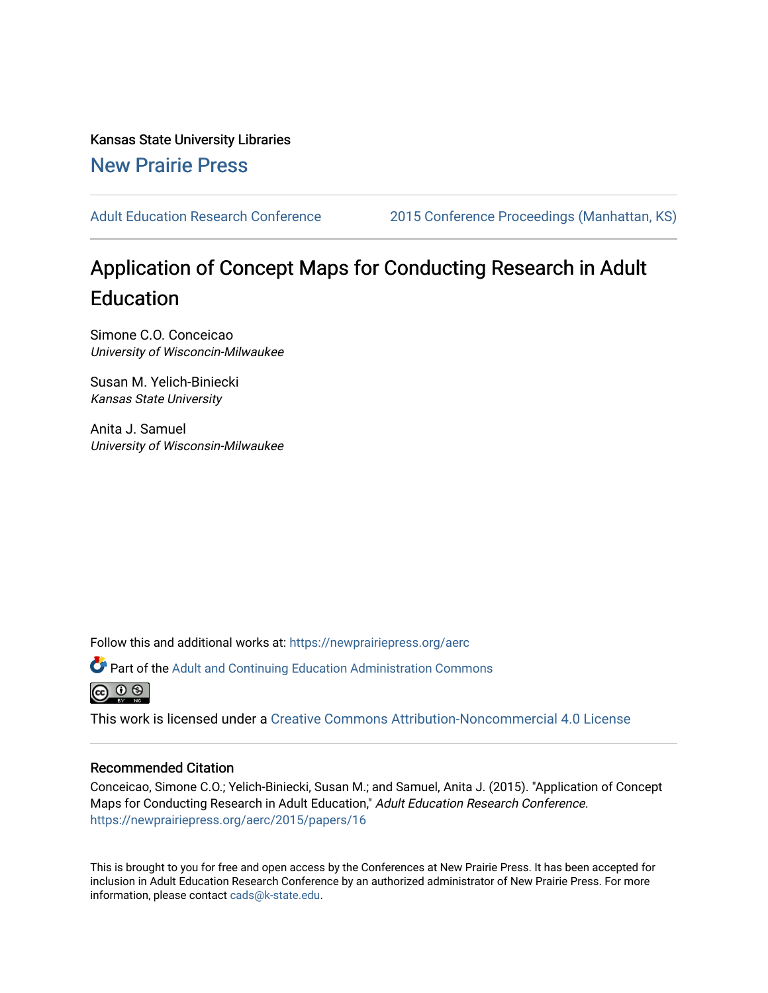Kansas State University Libraries [New Prairie Press](https://newprairiepress.org/) 

[Adult Education Research Conference](https://newprairiepress.org/aerc) [2015 Conference Proceedings \(Manhattan, KS\)](https://newprairiepress.org/aerc/2015) 

# Application of Concept Maps for Conducting Research in Adult **Education**

Simone C.O. Conceicao University of Wisconcin-Milwaukee

Susan M. Yelich-Biniecki Kansas State University

Anita J. Samuel University of Wisconsin-Milwaukee

Follow this and additional works at: [https://newprairiepress.org/aerc](https://newprairiepress.org/aerc?utm_source=newprairiepress.org%2Faerc%2F2015%2Fpapers%2F16&utm_medium=PDF&utm_campaign=PDFCoverPages)

Part of the [Adult and Continuing Education Administration Commons](http://network.bepress.com/hgg/discipline/789?utm_source=newprairiepress.org%2Faerc%2F2015%2Fpapers%2F16&utm_medium=PDF&utm_campaign=PDFCoverPages)



This work is licensed under a [Creative Commons Attribution-Noncommercial 4.0 License](https://creativecommons.org/licenses/by-nc/4.0/)

## Recommended Citation

Conceicao, Simone C.O.; Yelich-Biniecki, Susan M.; and Samuel, Anita J. (2015). "Application of Concept Maps for Conducting Research in Adult Education," Adult Education Research Conference. <https://newprairiepress.org/aerc/2015/papers/16>

This is brought to you for free and open access by the Conferences at New Prairie Press. It has been accepted for inclusion in Adult Education Research Conference by an authorized administrator of New Prairie Press. For more information, please contact [cads@k-state.edu](mailto:cads@k-state.edu).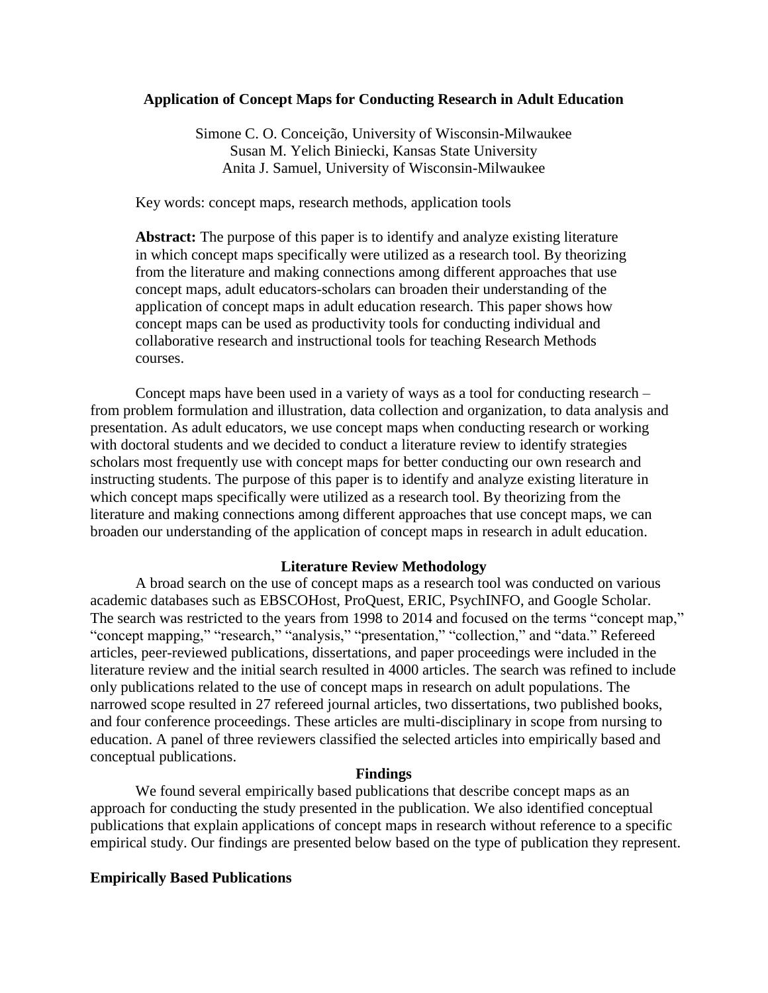# **Application of Concept Maps for Conducting Research in Adult Education**

Simone C. O. Conceição, University of Wisconsin-Milwaukee Susan M. Yelich Biniecki, Kansas State University Anita J. Samuel, University of Wisconsin-Milwaukee

Key words: concept maps, research methods, application tools

**Abstract:** The purpose of this paper is to identify and analyze existing literature in which concept maps specifically were utilized as a research tool. By theorizing from the literature and making connections among different approaches that use concept maps, adult educators-scholars can broaden their understanding of the application of concept maps in adult education research. This paper shows how concept maps can be used as productivity tools for conducting individual and collaborative research and instructional tools for teaching Research Methods courses.

Concept maps have been used in a variety of ways as a tool for conducting research – from problem formulation and illustration, data collection and organization, to data analysis and presentation. As adult educators, we use concept maps when conducting research or working with doctoral students and we decided to conduct a literature review to identify strategies scholars most frequently use with concept maps for better conducting our own research and instructing students. The purpose of this paper is to identify and analyze existing literature in which concept maps specifically were utilized as a research tool. By theorizing from the literature and making connections among different approaches that use concept maps, we can broaden our understanding of the application of concept maps in research in adult education.

## **Literature Review Methodology**

A broad search on the use of concept maps as a research tool was conducted on various academic databases such as EBSCOHost, ProQuest, ERIC, PsychINFO, and Google Scholar. The search was restricted to the years from 1998 to 2014 and focused on the terms "concept map," "concept mapping," "research," "analysis," "presentation," "collection," and "data." Refereed articles, peer-reviewed publications, dissertations, and paper proceedings were included in the literature review and the initial search resulted in 4000 articles. The search was refined to include only publications related to the use of concept maps in research on adult populations. The narrowed scope resulted in 27 refereed journal articles, two dissertations, two published books, and four conference proceedings. These articles are multi-disciplinary in scope from nursing to education. A panel of three reviewers classified the selected articles into empirically based and conceptual publications.

#### **Findings**

We found several empirically based publications that describe concept maps as an approach for conducting the study presented in the publication. We also identified conceptual publications that explain applications of concept maps in research without reference to a specific empirical study. Our findings are presented below based on the type of publication they represent.

## **Empirically Based Publications**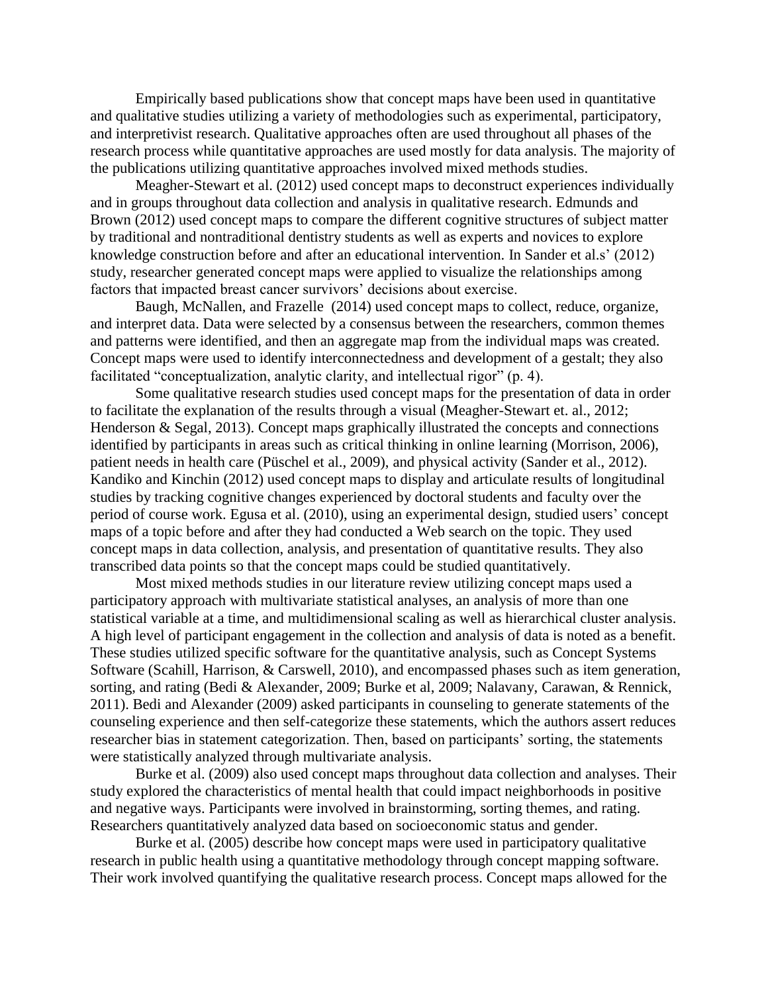Empirically based publications show that concept maps have been used in quantitative and qualitative studies utilizing a variety of methodologies such as experimental, participatory, and interpretivist research. Qualitative approaches often are used throughout all phases of the research process while quantitative approaches are used mostly for data analysis. The majority of the publications utilizing quantitative approaches involved mixed methods studies.

Meagher-Stewart et al. (2012) used concept maps to deconstruct experiences individually and in groups throughout data collection and analysis in qualitative research. Edmunds and Brown (2012) used concept maps to compare the different cognitive structures of subject matter by traditional and nontraditional dentistry students as well as experts and novices to explore knowledge construction before and after an educational intervention. In Sander et al.s' (2012) study, researcher generated concept maps were applied to visualize the relationships among factors that impacted breast cancer survivors' decisions about exercise.

Baugh, McNallen, and Frazelle (2014) used concept maps to collect, reduce, organize, and interpret data. Data were selected by a consensus between the researchers, common themes and patterns were identified, and then an aggregate map from the individual maps was created. Concept maps were used to identify interconnectedness and development of a gestalt; they also facilitated "conceptualization, analytic clarity, and intellectual rigor" (p. 4).

Some qualitative research studies used concept maps for the presentation of data in order to facilitate the explanation of the results through a visual (Meagher-Stewart et. al., 2012; Henderson & Segal, 2013). Concept maps graphically illustrated the concepts and connections identified by participants in areas such as critical thinking in online learning (Morrison, 2006), patient needs in health care (Püschel et al., 2009), and physical activity (Sander et al., 2012). Kandiko and Kinchin (2012) used concept maps to display and articulate results of longitudinal studies by tracking cognitive changes experienced by doctoral students and faculty over the period of course work. Egusa et al. (2010), using an experimental design, studied users' concept maps of a topic before and after they had conducted a Web search on the topic. They used concept maps in data collection, analysis, and presentation of quantitative results. They also transcribed data points so that the concept maps could be studied quantitatively.

Most mixed methods studies in our literature review utilizing concept maps used a participatory approach with multivariate statistical analyses, an analysis of more than one statistical variable at a time, and multidimensional scaling as well as hierarchical cluster analysis. A high level of participant engagement in the collection and analysis of data is noted as a benefit. These studies utilized specific software for the quantitative analysis, such as Concept Systems Software (Scahill, Harrison, & Carswell, 2010), and encompassed phases such as item generation, sorting, and rating (Bedi & Alexander, 2009; Burke et al, 2009; Nalavany, Carawan, & Rennick, 2011). Bedi and Alexander (2009) asked participants in counseling to generate statements of the counseling experience and then self-categorize these statements, which the authors assert reduces researcher bias in statement categorization. Then, based on participants' sorting, the statements were statistically analyzed through multivariate analysis.

Burke et al. (2009) also used concept maps throughout data collection and analyses. Their study explored the characteristics of mental health that could impact neighborhoods in positive and negative ways. Participants were involved in brainstorming, sorting themes, and rating. Researchers quantitatively analyzed data based on socioeconomic status and gender.

Burke et al. (2005) describe how concept maps were used in participatory qualitative research in public health using a quantitative methodology through concept mapping software. Their work involved quantifying the qualitative research process. Concept maps allowed for the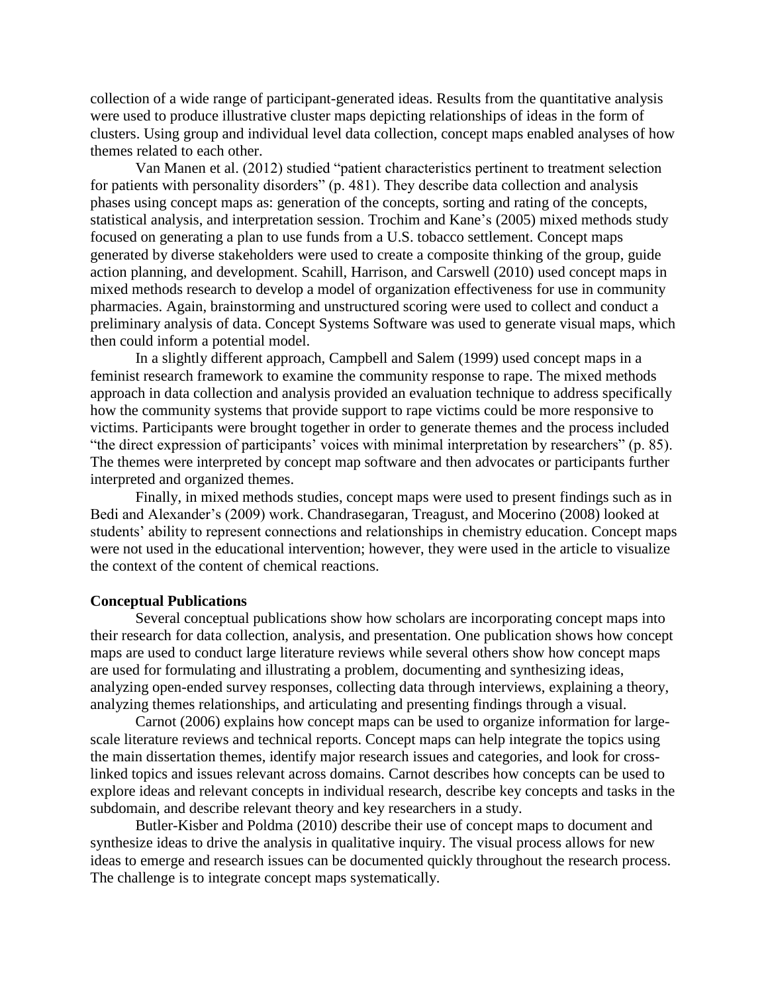collection of a wide range of participant-generated ideas. Results from the quantitative analysis were used to produce illustrative cluster maps depicting relationships of ideas in the form of clusters. Using group and individual level data collection, concept maps enabled analyses of how themes related to each other.

Van Manen et al. (2012) studied "patient characteristics pertinent to treatment selection for patients with personality disorders" (p. 481). They describe data collection and analysis phases using concept maps as: generation of the concepts, sorting and rating of the concepts, statistical analysis, and interpretation session. Trochim and Kane's (2005) mixed methods study focused on generating a plan to use funds from a U.S. tobacco settlement. Concept maps generated by diverse stakeholders were used to create a composite thinking of the group, guide action planning, and development. Scahill, Harrison, and Carswell (2010) used concept maps in mixed methods research to develop a model of organization effectiveness for use in community pharmacies. Again, brainstorming and unstructured scoring were used to collect and conduct a preliminary analysis of data. Concept Systems Software was used to generate visual maps, which then could inform a potential model.

In a slightly different approach, Campbell and Salem (1999) used concept maps in a feminist research framework to examine the community response to rape. The mixed methods approach in data collection and analysis provided an evaluation technique to address specifically how the community systems that provide support to rape victims could be more responsive to victims. Participants were brought together in order to generate themes and the process included "the direct expression of participants' voices with minimal interpretation by researchers" (p. 85). The themes were interpreted by concept map software and then advocates or participants further interpreted and organized themes.

Finally, in mixed methods studies, concept maps were used to present findings such as in Bedi and Alexander's (2009) work. Chandrasegaran, Treagust, and Mocerino (2008) looked at students' ability to represent connections and relationships in chemistry education. Concept maps were not used in the educational intervention; however, they were used in the article to visualize the context of the content of chemical reactions.

## **Conceptual Publications**

Several conceptual publications show how scholars are incorporating concept maps into their research for data collection, analysis, and presentation. One publication shows how concept maps are used to conduct large literature reviews while several others show how concept maps are used for formulating and illustrating a problem, documenting and synthesizing ideas, analyzing open-ended survey responses, collecting data through interviews, explaining a theory, analyzing themes relationships, and articulating and presenting findings through a visual.

Carnot (2006) explains how concept maps can be used to organize information for largescale literature reviews and technical reports. Concept maps can help integrate the topics using the main dissertation themes, identify major research issues and categories, and look for crosslinked topics and issues relevant across domains. Carnot describes how concepts can be used to explore ideas and relevant concepts in individual research, describe key concepts and tasks in the subdomain, and describe relevant theory and key researchers in a study.

Butler-Kisber and Poldma (2010) describe their use of concept maps to document and synthesize ideas to drive the analysis in qualitative inquiry. The visual process allows for new ideas to emerge and research issues can be documented quickly throughout the research process. The challenge is to integrate concept maps systematically.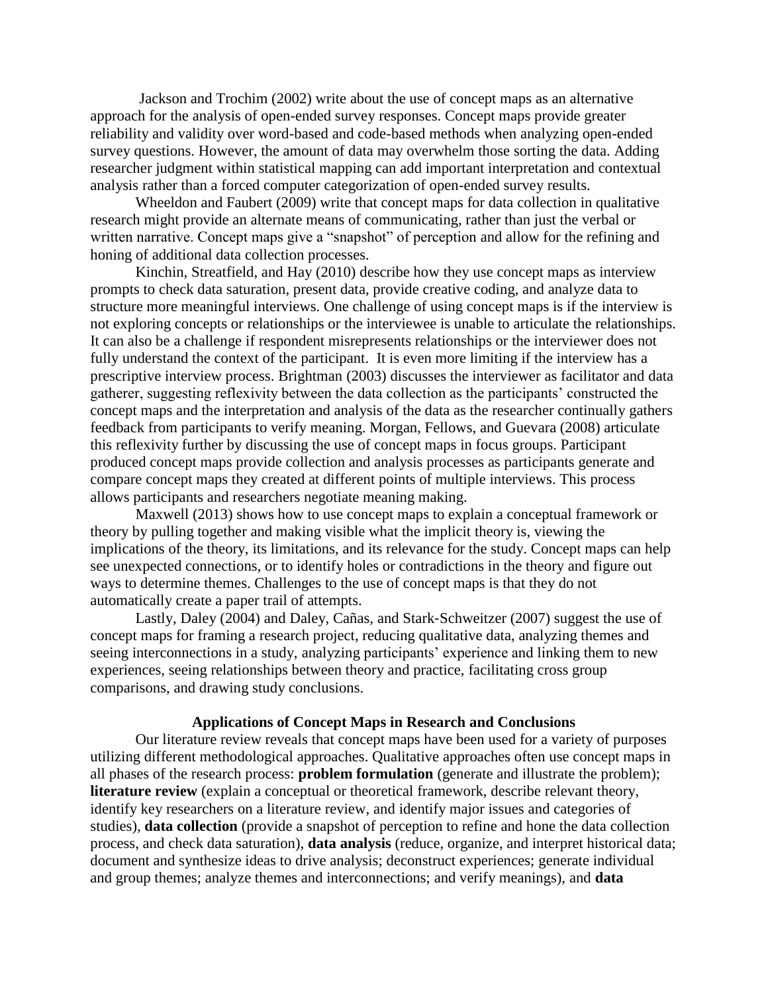Jackson and Trochim (2002) write about the use of concept maps as an alternative approach for the analysis of open-ended survey responses. Concept maps provide greater reliability and validity over word-based and code-based methods when analyzing open-ended survey questions. However, the amount of data may overwhelm those sorting the data. Adding researcher judgment within statistical mapping can add important interpretation and contextual analysis rather than a forced computer categorization of open-ended survey results.

Wheeldon and Faubert (2009) write that concept maps for data collection in qualitative research might provide an alternate means of communicating, rather than just the verbal or written narrative. Concept maps give a "snapshot" of perception and allow for the refining and honing of additional data collection processes.

Kinchin, Streatfield, and Hay (2010) describe how they use concept maps as interview prompts to check data saturation, present data, provide creative coding, and analyze data to structure more meaningful interviews. One challenge of using concept maps is if the interview is not exploring concepts or relationships or the interviewee is unable to articulate the relationships. It can also be a challenge if respondent misrepresents relationships or the interviewer does not fully understand the context of the participant. It is even more limiting if the interview has a prescriptive interview process. Brightman (2003) discusses the interviewer as facilitator and data gatherer, suggesting reflexivity between the data collection as the participants' constructed the concept maps and the interpretation and analysis of the data as the researcher continually gathers feedback from participants to verify meaning. Morgan, Fellows, and Guevara (2008) articulate this reflexivity further by discussing the use of concept maps in focus groups. Participant produced concept maps provide collection and analysis processes as participants generate and compare concept maps they created at different points of multiple interviews. This process allows participants and researchers negotiate meaning making.

Maxwell (2013) shows how to use concept maps to explain a conceptual framework or theory by pulling together and making visible what the implicit theory is, viewing the implications of the theory, its limitations, and its relevance for the study. Concept maps can help see unexpected connections, or to identify holes or contradictions in the theory and figure out ways to determine themes. Challenges to the use of concept maps is that they do not automatically create a paper trail of attempts.

Lastly, Daley (2004) and Daley, Cañas, and Stark-Schweitzer (2007) suggest the use of concept maps for framing a research project, reducing qualitative data, analyzing themes and seeing interconnections in a study, analyzing participants' experience and linking them to new experiences, seeing relationships between theory and practice, facilitating cross group comparisons, and drawing study conclusions.

## **Applications of Concept Maps in Research and Conclusions**

Our literature review reveals that concept maps have been used for a variety of purposes utilizing different methodological approaches. Qualitative approaches often use concept maps in all phases of the research process: **problem formulation** (generate and illustrate the problem); **literature review** (explain a conceptual or theoretical framework, describe relevant theory, identify key researchers on a literature review, and identify major issues and categories of studies), **data collection** (provide a snapshot of perception to refine and hone the data collection process, and check data saturation), **data analysis** (reduce, organize, and interpret historical data; document and synthesize ideas to drive analysis; deconstruct experiences; generate individual and group themes; analyze themes and interconnections; and verify meanings), and **data**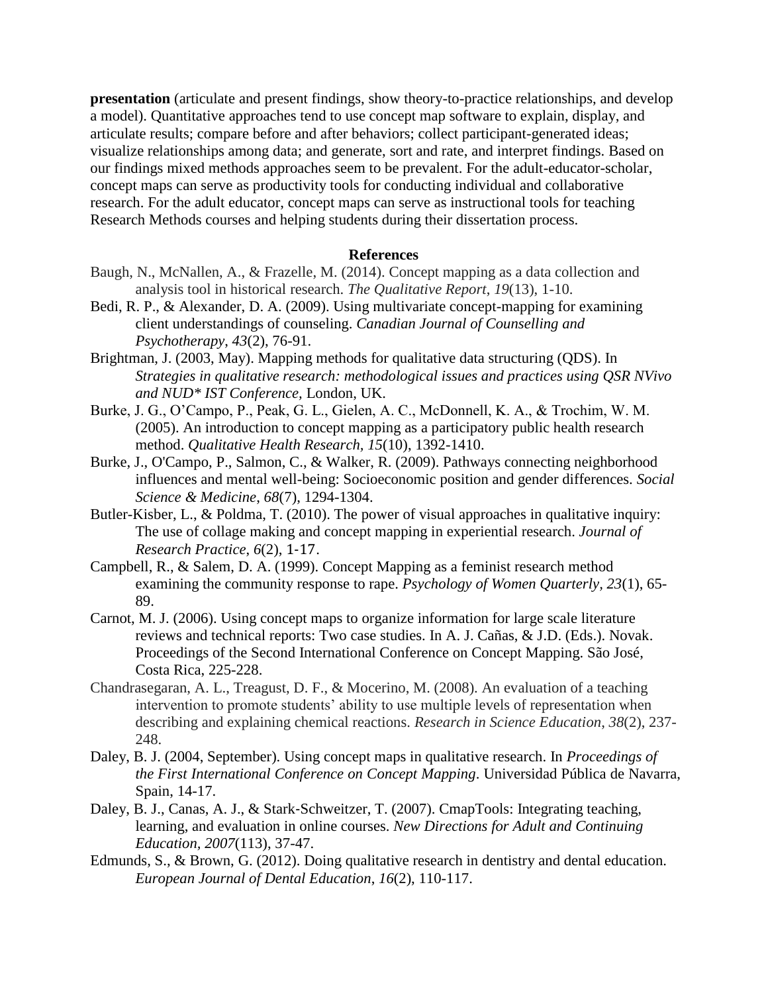**presentation** (articulate and present findings, show theory-to-practice relationships, and develop a model). Quantitative approaches tend to use concept map software to explain, display, and articulate results; compare before and after behaviors; collect participant-generated ideas; visualize relationships among data; and generate, sort and rate, and interpret findings. Based on our findings mixed methods approaches seem to be prevalent. For the adult-educator-scholar, concept maps can serve as productivity tools for conducting individual and collaborative research. For the adult educator, concept maps can serve as instructional tools for teaching Research Methods courses and helping students during their dissertation process.

## **References**

- Baugh, N., McNallen, A., & Frazelle, M. (2014). Concept mapping as a data collection and analysis tool in historical research. *The Qualitative Report*, *19*(13), 1-10.
- Bedi, R. P., & Alexander, D. A. (2009). Using multivariate concept-mapping for examining client understandings of counseling. *Canadian Journal of Counselling and Psychotherapy*, *43*(2), 76-91.
- Brightman, J. (2003, May). Mapping methods for qualitative data structuring (QDS). In *Strategies in qualitative research: methodological issues and practices using QSR NVivo and NUD\* IST Conference,* London, UK.
- Burke, J. G., O'Campo, P., Peak, G. L., Gielen, A. C., McDonnell, K. A., & Trochim, W. M. (2005). An introduction to concept mapping as a participatory public health research method. *Qualitative Health Research, 15*(10), 1392-1410.
- Burke, J., O'Campo, P., Salmon, C., & Walker, R. (2009). Pathways connecting neighborhood influences and mental well-being: Socioeconomic position and gender differences. *Social Science & Medicine*, *68*(7), 1294-1304.
- Butler-Kisber, L., & Poldma, T. (2010). The power of visual approaches in qualitative inquiry: The use of collage making and concept mapping in experiential research. *Journal of Research Practice*, *6*(2), 1-17.
- Campbell, R., & Salem, D. A. (1999). Concept Mapping as a feminist research method examining the community response to rape. *Psychology of Women Quarterly, 23*(1), 65- 89.
- Carnot, M. J. (2006). Using concept maps to organize information for large scale literature reviews and technical reports: Two case studies. In A. J. Cañas, & J.D. (Eds.). Novak. Proceedings of the Second International Conference on Concept Mapping. São José, Costa Rica, 225-228.
- Chandrasegaran, A. L., Treagust, D. F., & Mocerino, M. (2008). An evaluation of a teaching intervention to promote students' ability to use multiple levels of representation when describing and explaining chemical reactions. *Research in Science Education*, *38*(2), 237- 248.
- Daley, B. J. (2004, September). Using concept maps in qualitative research. In *Proceedings of the First International Conference on Concept Mapping*. Universidad Pública de Navarra, Spain, 14-17.
- Daley, B. J., Canas, A. J., & Stark‐Schweitzer, T. (2007). CmapTools: Integrating teaching, learning, and evaluation in online courses. *New Directions for Adult and Continuing Education, 2007*(113), 37-47.
- Edmunds, S., & Brown, G. (2012). Doing qualitative research in dentistry and dental education. *European Journal of Dental Education*, *16*(2), 110-117.